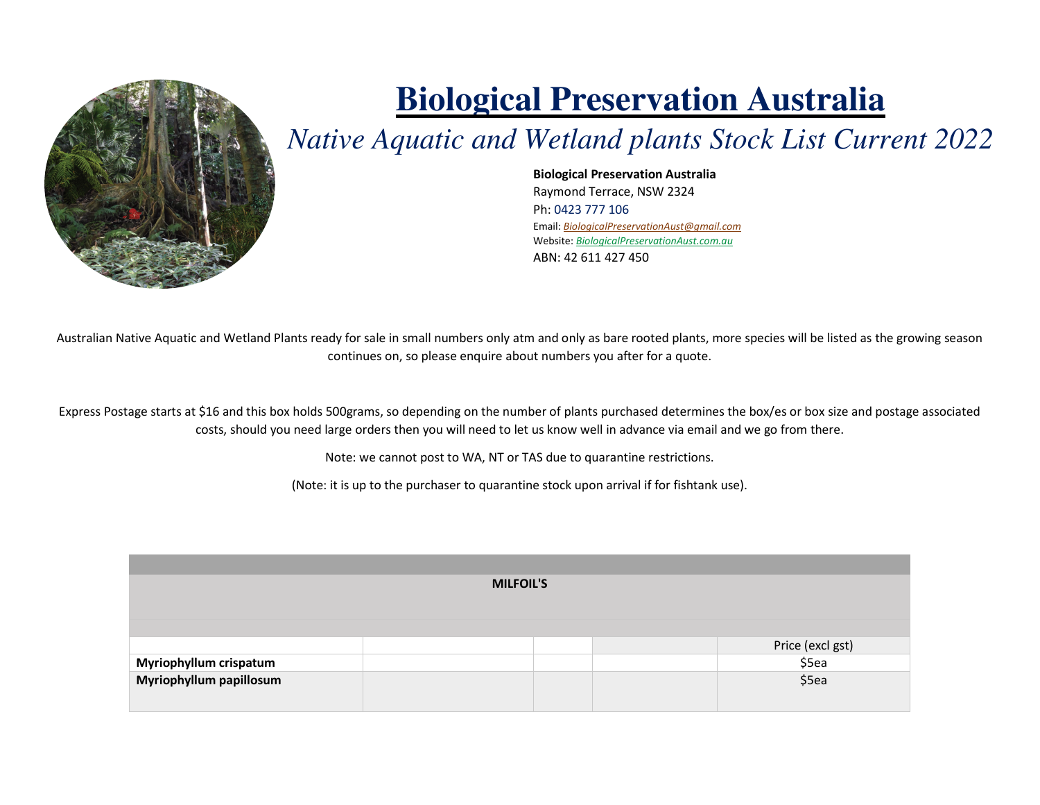

## **Biological Preservation Australia**

## *Native Aquatic and Wetland plants Stock List Current 2022*

**Biological Preservation Australia** Raymond Terrace, NSW 2324 Ph: 0423 777 106 Email: *BiologicalPreservationAust@gmail.com* Website: *BiologicalPreservationAust.com.au*ABN: 42 611 427 450

Australian Native Aquatic and Wetland Plants ready for sale in small numbers only atm and only as bare rooted plants, more species will be listed as the growing season continues on, so please enquire about numbers you after for a quote.

Express Postage starts at \$16 and this box holds 500grams, so depending on the number of plants purchased determines the box/es or box size and postage associated costs, should you need large orders then you will need to let us know well in advance via email and we go from there.

Note: we cannot post to WA, NT or TAS due to quarantine restrictions.

(Note: it is up to the purchaser to quarantine stock upon arrival if for fishtank use).

| <b>MILFOIL'S</b>                                  |  |                           |  |  |  |
|---------------------------------------------------|--|---------------------------|--|--|--|
|                                                   |  |                           |  |  |  |
|                                                   |  |                           |  |  |  |
|                                                   |  | Price (excl gst)<br>\$5ea |  |  |  |
| Myriophyllum crispatum<br>Myriophyllum papillosum |  | \$5ea                     |  |  |  |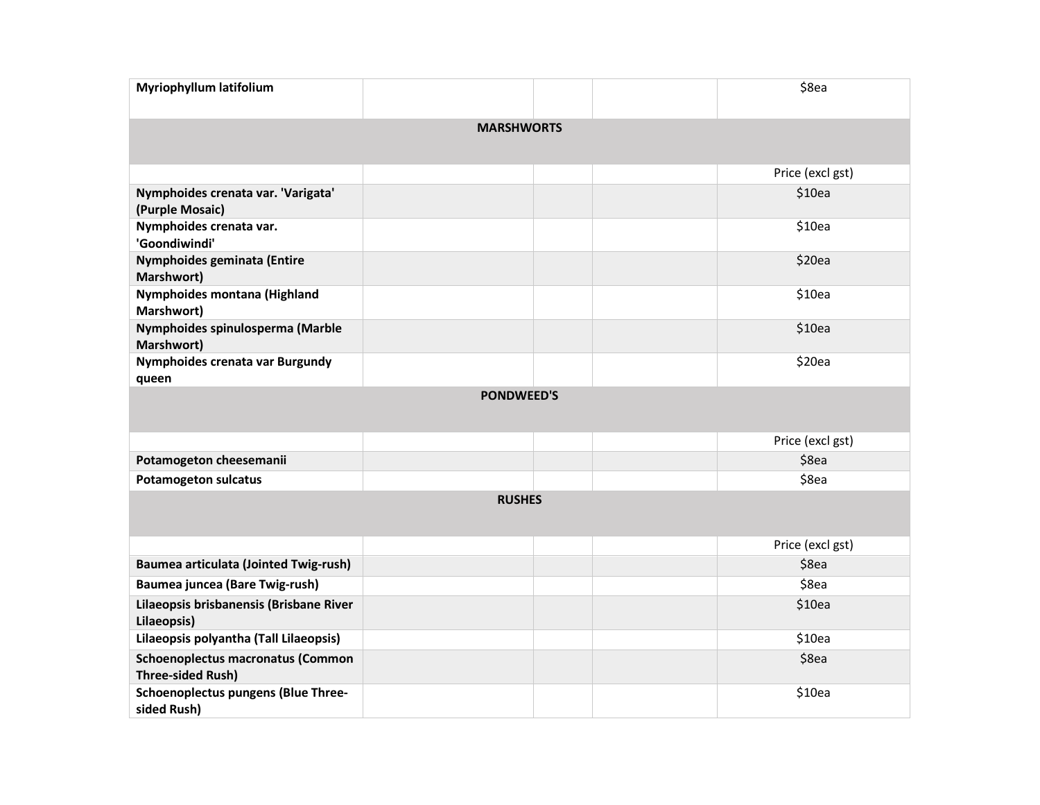| Myriophyllum latifolium                                              |  |  |  | \$8ea            |  |  |
|----------------------------------------------------------------------|--|--|--|------------------|--|--|
| <b>MARSHWORTS</b>                                                    |  |  |  |                  |  |  |
|                                                                      |  |  |  | Price (excl gst) |  |  |
| Nymphoides crenata var. 'Varigata'<br>(Purple Mosaic)                |  |  |  | \$10ea           |  |  |
| Nymphoides crenata var.<br>'Goondiwindi'                             |  |  |  | \$10ea           |  |  |
| Nymphoides geminata (Entire<br>Marshwort)                            |  |  |  | \$20ea           |  |  |
| Nymphoides montana (Highland<br>Marshwort)                           |  |  |  | \$10ea           |  |  |
| Nymphoides spinulosperma (Marble<br>Marshwort)                       |  |  |  | \$10ea           |  |  |
| Nymphoides crenata var Burgundy<br>queen                             |  |  |  | \$20ea           |  |  |
| <b>PONDWEED'S</b>                                                    |  |  |  |                  |  |  |
|                                                                      |  |  |  | Price (excl gst) |  |  |
| Potamogeton cheesemanii                                              |  |  |  | \$8ea            |  |  |
| <b>Potamogeton sulcatus</b>                                          |  |  |  | \$8ea            |  |  |
| <b>RUSHES</b>                                                        |  |  |  |                  |  |  |
|                                                                      |  |  |  | Price (excl gst) |  |  |
| <b>Baumea articulata (Jointed Twig-rush)</b>                         |  |  |  | \$8ea            |  |  |
| Baumea juncea (Bare Twig-rush)                                       |  |  |  | \$8ea            |  |  |
| Lilaeopsis brisbanensis (Brisbane River<br>Lilaeopsis)               |  |  |  | \$10ea           |  |  |
| Lilaeopsis polyantha (Tall Lilaeopsis)                               |  |  |  | \$10ea           |  |  |
| <b>Schoenoplectus macronatus (Common</b><br><b>Three-sided Rush)</b> |  |  |  | \$8ea            |  |  |
| Schoenoplectus pungens (Blue Three-<br>sided Rush)                   |  |  |  | \$10ea           |  |  |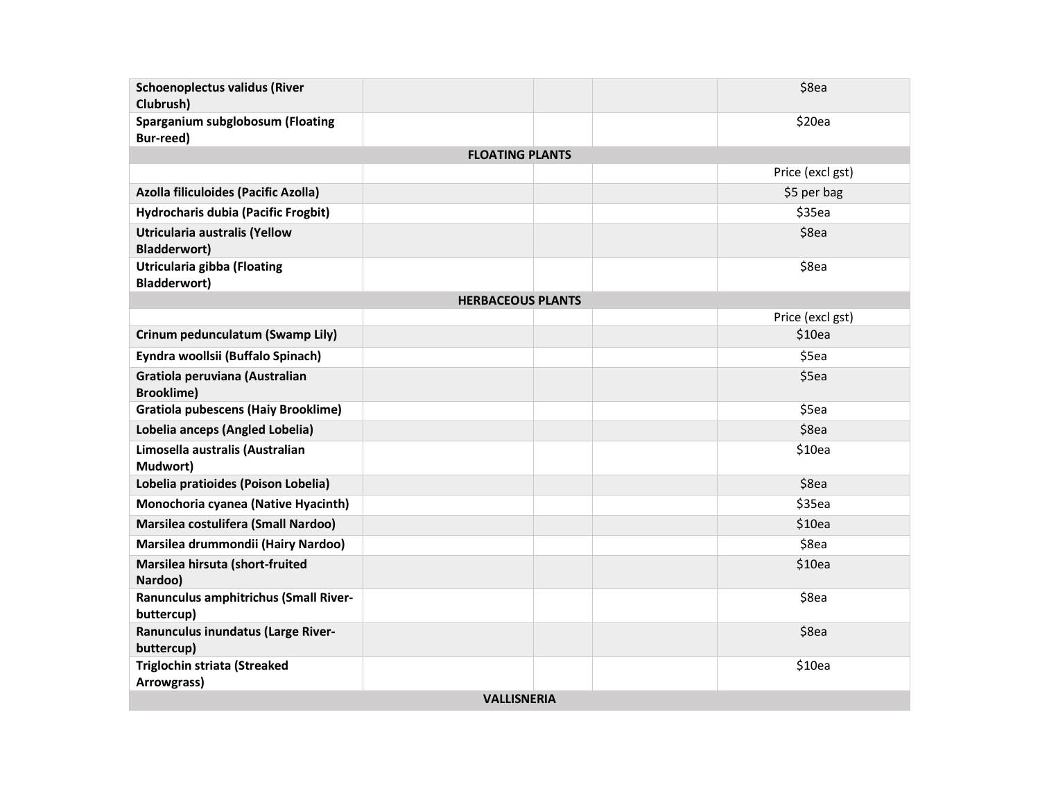| <b>Schoenoplectus validus (River</b><br>Clubrush)    |                          |  | \$8ea            |  |  |
|------------------------------------------------------|--------------------------|--|------------------|--|--|
| Sparganium subglobosum (Floating<br>Bur-reed)        |                          |  | \$20ea           |  |  |
|                                                      | <b>FLOATING PLANTS</b>   |  |                  |  |  |
|                                                      |                          |  | Price (excl gst) |  |  |
| Azolla filiculoides (Pacific Azolla)                 |                          |  | \$5 per bag      |  |  |
| Hydrocharis dubia (Pacific Frogbit)                  |                          |  | \$35ea           |  |  |
| Utricularia australis (Yellow<br><b>Bladderwort)</b> |                          |  | \$8ea            |  |  |
| Utricularia gibba (Floating<br><b>Bladderwort)</b>   |                          |  | \$8ea            |  |  |
|                                                      | <b>HERBACEOUS PLANTS</b> |  |                  |  |  |
|                                                      |                          |  | Price (excl gst) |  |  |
| Crinum pedunculatum (Swamp Lily)                     |                          |  | \$10ea           |  |  |
| Eyndra woollsii (Buffalo Spinach)                    |                          |  | \$5ea            |  |  |
| Gratiola peruviana (Australian<br><b>Brooklime)</b>  |                          |  | \$5ea            |  |  |
| <b>Gratiola pubescens (Haiy Brooklime)</b>           |                          |  | \$5ea            |  |  |
| Lobelia anceps (Angled Lobelia)                      |                          |  | \$8ea            |  |  |
| Limosella australis (Australian<br>Mudwort)          |                          |  | \$10ea           |  |  |
| Lobelia pratioides (Poison Lobelia)                  |                          |  | \$8ea            |  |  |
| Monochoria cyanea (Native Hyacinth)                  |                          |  | \$35ea           |  |  |
| Marsilea costulifera (Small Nardoo)                  |                          |  | \$10ea           |  |  |
| Marsilea drummondii (Hairy Nardoo)                   |                          |  | \$8ea            |  |  |
| Marsilea hirsuta (short-fruited<br>Nardoo)           |                          |  | \$10ea           |  |  |
| Ranunculus amphitrichus (Small River-<br>buttercup)  |                          |  | \$8ea            |  |  |
| Ranunculus inundatus (Large River-<br>buttercup)     |                          |  | \$8ea            |  |  |
| <b>Triglochin striata (Streaked</b><br>Arrowgrass)   |                          |  | \$10ea           |  |  |
| <b>VALLISNERIA</b>                                   |                          |  |                  |  |  |